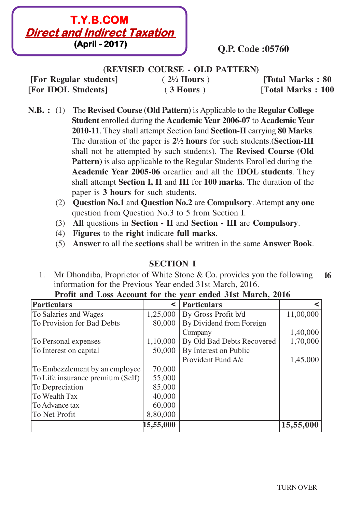

**(REVISED COURSE - OLD PATTERN)**

**[For Regular students]** ( **2½ Hours** ) **[Total Marks : 80 [For IDOL Students]** ( **3 Hours** ) **[Total Marks : 100**

- **N.B. :** (1) The **Revised Course (Old Pattern)** is Applicable to the **Regular College Student** enrolled during the **Academic Year 2006-07** to **Academic Year 2010-11**. They shall attempt Section Iand **Section-II** carrying **80 Marks**. The duration of the paper is **2½ hours** for such students.(**Section-III** shall not be attempted by such students). The **Revised Course (Old Pattern)** is also applicable to the Regular Students Enrolled during the **Academic Year 2005-06** orearlier and all the **IDOL students**. They shall attempt **Section I, II** and **III** for **100 marks**. The duration of the paper is **3 hours** for such students.
	- (2) **Question No.1** and **Question No.2** are **Compulsory**. Attempt **any one** question from Question No.3 to 5 from Section I.
	- (3) **All** questions in **Section II** and **Section III** are **Compulsory**.
	- (4) **Figures** to the **right** indicate **full marks**.
	- (5) **Answer** to all the **sections** shall be written in the same **Answer Book**.

# **SECTION I**

1. Mr Dhondiba, Proprietor of White Stone & Co. provides you the following **16** information for the Previous Year ended 31st March, 2016.

| <b>Particulars</b>               | ≺         | <b>Particulars</b>         |           |
|----------------------------------|-----------|----------------------------|-----------|
| To Salaries and Wages            | 1,25,000  | By Gross Profit b/d        | 11,00,000 |
| To Provision for Bad Debts       | 80,000    | By Dividend from Foreign   |           |
|                                  |           | Company                    | 1,40,000  |
| To Personal expenses             | 1,10,000  | By Old Bad Debts Recovered | 1,70,000  |
| To Interest on capital           | 50,000    | By Interest on Public      |           |
|                                  |           | Provident Fund A/c         | 1,45,000  |
| To Embezzlement by an employee   | 70,000    |                            |           |
| To Life insurance premium (Self) | 55,000    |                            |           |
| To Depreciation                  | 85,000    |                            |           |
| <b>To Wealth Tax</b>             | 40,000    |                            |           |
| To Advance tax                   | 60,000    |                            |           |
| To Net Profit                    | 8,80,000  |                            |           |
|                                  | 15,55,000 |                            | 15,55,000 |

|  |  |  | Profit and Loss Account for the year ended 31st March, 2016 |  |  |  |  |  |  |  |  |
|--|--|--|-------------------------------------------------------------|--|--|--|--|--|--|--|--|
|--|--|--|-------------------------------------------------------------|--|--|--|--|--|--|--|--|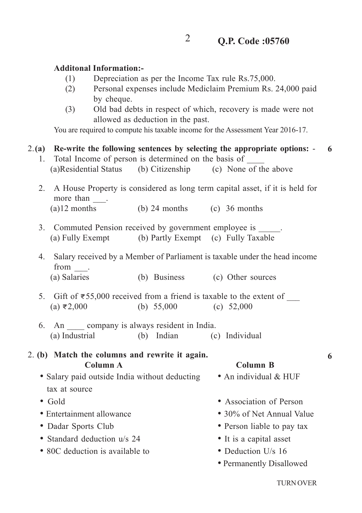#### **Additonal Information:-**

- (1) Depreciation as per the Income Tax rule Rs.75,000.
- (2) Personal expenses include Mediclaim Premium Rs. 24,000 paid by cheque.
- (3) Old bad debts in respect of which, recovery is made were not allowed as deduction in the past.

You are required to compute his taxable income for the Assessment Year 2016-17.

#### 2.**(a) Re-write the following sentences by selecting the appropriate options:** - **6**

- 1. Total Income of person is determined on the basis of (a)Residential Status (b) Citizenship (c) None of the above
- 2. A House Property is considered as long term capital asset, if it is held for more than  $\qquad$ .

 $(a)$ 12 months (b) 24 months (c) 36 months

- 3. Commuted Pension received by government employee is  $\qquad \qquad$ (a) Fully Exempt (b) Partly Exempt (c) Fully Taxable
- 4. Salary received by a Member of Parliament is taxable under the head income from \_\_\_. (a) Salaries (b) Business (c) Other sources
- 5. Gift of  $\overline{$}55,000$  received from a friend is taxable to the extent of (a) **<**2,000 (b) 55,000 (c) 52,000
- 6. An company is always resident in India. (a) Industrial (b) Indian (c) Individual

#### 2. **(b) Match the columns and rewrite it again. Column A Column B**

- Salary paid outside India without deducting An individual & HUF tax at source
- 
- 
- 
- Standard deduction u/s 24 It is a capital asset
- 80C deduction is available to **i** Deduction U/s 16
- 
- 
- Gold Association of Person
- ï Entertainment allowance ï 30% of Net Annual Value
- ï Dadar Sports Club ï Person liable to pay tax
	-
	-
	- Permanently Disallowed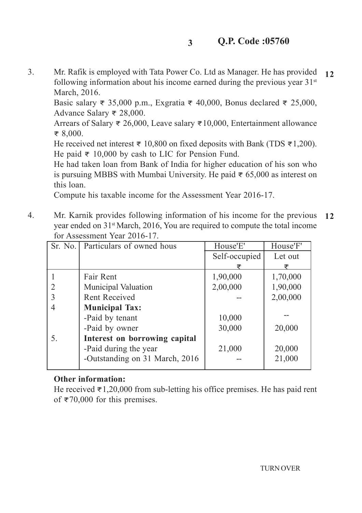3. Mr. Rafik is employed with Tata Power Co. Ltd as Manager. He has provided following information about his income earned during the previous year  $31<sup>st</sup>$ March, 2016. **12**

Basic salary **<** 35,000 p.m., Exgratia **<** 40,000, Bonus declared **<** 25,000, Advance Salary **<** 28,000.

Arrears of Salary **<** 26,000, Leave salary **<**10,000, Entertainment allowance **<** 8,000.

He received net interest **<** 10,800 on fixed deposits with Bank (TDS **<**1,200). He paid **<** 10,000 by cash to LIC for Pension Fund.

He had taken loan from Bank of India for higher education of his son who is pursuing MBBS with Mumbai University. He paid **<** 65,000 as interest on this loan.

Compute his taxable income for the Assessment Year 2016-17.

4. Mr. Karnik provides following information of his income for the previous year ended on 31st March, 2016, You are required to compute the total income for Assessment Year 2016-17. **12**

|    | Sr. No. Particulars of owned hous | House'E'      | House'F' |
|----|-----------------------------------|---------------|----------|
|    |                                   | Self-occupied | Let out  |
|    |                                   |               | ₹        |
|    | Fair Rent                         | 1,90,000      | 1,70,000 |
|    | <b>Municipal Valuation</b>        | 2,00,000      | 1,90,000 |
|    | <b>Rent Received</b>              |               | 2,00,000 |
|    | <b>Municipal Tax:</b>             |               |          |
|    | -Paid by tenant                   | 10,000        |          |
|    | -Paid by owner                    | 30,000        | 20,000   |
| 5. | Interest on borrowing capital     |               |          |
|    | -Paid during the year             | 21,000        | 20,000   |
|    | -Outstanding on 31 March, 2016    |               | 21,000   |
|    |                                   |               |          |

### **Other information:**

He received **<**1,20,000 from sub-letting his office premises. He has paid rent of **<**70,000 for this premises.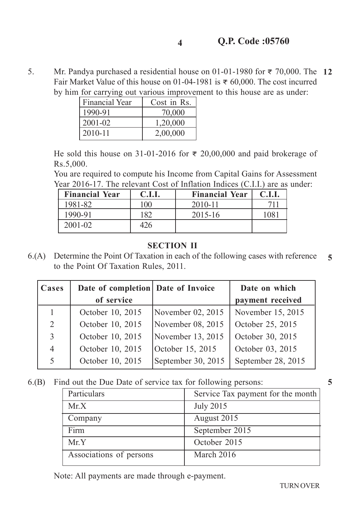5. Mr. Pandya purchased a residential house on 01-01-1980 for **<** 70,000. The **12** Fair Market Value of this house on 01-04-1981 is **<** 60,000. The cost incurred by him for carrying out various improvement to this house are as under:

**4**

| <b>Financial Year</b> | Cost in Rs. |
|-----------------------|-------------|
| 1990-91               | 70,000      |
| 2001-02               | 1,20,000    |
| 2010-11               | 2,00,000    |

He sold this house on 31-01-2016 for **<** 20,00,000 and paid brokerage of Rs.5,000.

You are required to compute his Income from Capital Gains for Assessment Year 2016-17. The relevant Cost of Inflation Indices (C.I.I.) are as under:

| <b>Financial Year</b> | <b>C.I.I.</b> | <b>Financial Year</b> | <b>C.I.I.</b> |
|-----------------------|---------------|-----------------------|---------------|
| 1981-82               | 100           | 2010-11               |               |
| 1990-91               | 1 Q J         | 2015-16               |               |
| $2001 - 02$           |               |                       |               |

### **SECTION II**

6.(A) Determine the Point Of Taxation in each of the following cases with reference to the Point Of Taxation Rules, 2011. **5**

| Cases          | Date of completion Date of Invoice |                     | Date on which      |  |
|----------------|------------------------------------|---------------------|--------------------|--|
|                | of service                         |                     | payment received   |  |
|                | October 10, 2015                   | November $02, 2015$ | November 15, 2015  |  |
| 2              | October 10, 2015                   | November 08, 2015   | October 25, 2015   |  |
| 3              | October 10, 2015                   | November 13, 2015   | October 30, 2015   |  |
| $\overline{4}$ | October 10, 2015                   | October 15, 2015    | October 03, 2015   |  |
| 5              | October 10, 2015                   | September 30, 2015  | September 28, 2015 |  |

6.(B) Find out the Due Date of service tax for following persons:

| Particulars             | Service Tax payment for the month |
|-------------------------|-----------------------------------|
| Mr.X                    | <b>July 2015</b>                  |
| Company                 | August 2015                       |
| Firm                    | September 2015                    |
| Mr.Y                    | October 2015                      |
| Associations of persons | March 2016                        |
|                         |                                   |

Note: All payments are made through e-payment.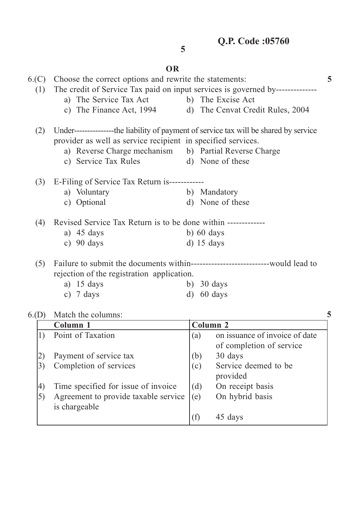# **OR**

**5**

|                   | 6.(C) Choose the correct options and rewrite the statements:<br>5              |  |                                                                   |   |  |  |  |
|-------------------|--------------------------------------------------------------------------------|--|-------------------------------------------------------------------|---|--|--|--|
| (1)               | The credit of Service Tax paid on input services is governed by--------------- |  |                                                                   |   |  |  |  |
|                   | a) The Service Tax Act b) The Excise Act                                       |  |                                                                   |   |  |  |  |
|                   | c) The Finance Act, 1994 d) The Cenvat Credit Rules, 2004                      |  |                                                                   |   |  |  |  |
| (2)               |                                                                                |  |                                                                   |   |  |  |  |
|                   | provider as well as service recipient in specified services.                   |  |                                                                   |   |  |  |  |
|                   | a) Reverse Charge mechanism b) Partial Reverse Charge                          |  |                                                                   |   |  |  |  |
|                   | c) Service Tax Rules d) None of these                                          |  |                                                                   |   |  |  |  |
| (3)               | E-Filing of Service Tax Return is------------                                  |  |                                                                   |   |  |  |  |
|                   | a) Voluntary                                                                   |  | b) Mandatory                                                      |   |  |  |  |
|                   | c) Optional                                                                    |  | d) None of these                                                  |   |  |  |  |
| (4)               | Revised Service Tax Return is to be done within -------------                  |  |                                                                   |   |  |  |  |
|                   | a) $45 \text{ days}$                                                           |  | b) $60 \text{ days}$                                              |   |  |  |  |
|                   | c) $90 \text{ days}$                                                           |  | $d)$ 15 days                                                      |   |  |  |  |
| (5)               |                                                                                |  |                                                                   |   |  |  |  |
|                   | rejection of the registration application.                                     |  |                                                                   |   |  |  |  |
|                   | a) $15 \text{ days}$                                                           |  | b) $30 \text{ days}$                                              |   |  |  |  |
|                   | c) $7 \text{ days}$                                                            |  | $d)$ 60 days                                                      |   |  |  |  |
| 6(p)              | Match the columns:                                                             |  |                                                                   | 5 |  |  |  |
|                   | Column 1                                                                       |  | <b>Column 2</b>                                                   |   |  |  |  |
| 1)                | Point of Taxation                                                              |  | on issuance of invoice of date<br>(a)<br>of completion of service |   |  |  |  |
| 2)                | Payment of service tax                                                         |  | (b)<br>30 days                                                    |   |  |  |  |
| $\left( 3\right)$ | Completion of services                                                         |  | Service deemed to be<br>(c)                                       |   |  |  |  |
|                   |                                                                                |  | provided                                                          |   |  |  |  |
| 4)                | Time specified for issue of invoice                                            |  | (d)<br>On receipt basis                                           |   |  |  |  |
| 5)                | Agreement to provide taxable service                                           |  | On hybrid basis<br>(e)                                            |   |  |  |  |

 $(f)$  45 days

is chargeable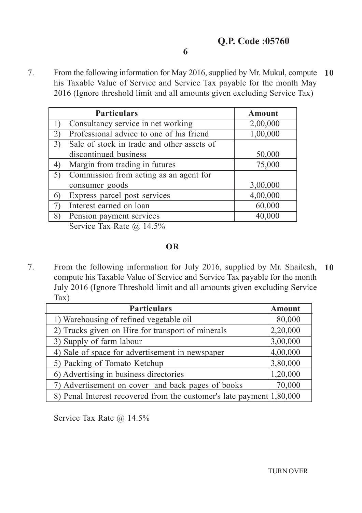7. From the following information for May 2016, supplied by Mr. Mukul, compute **10** his Taxable Value of Service and Service Tax payable for the month May 2016 (Ignore threshold limit and all amounts given excluding Service Tax)

|                   | <b>Particulars</b>                         | <b>Amount</b> |
|-------------------|--------------------------------------------|---------------|
|                   | Consultancy service in net working         | 2,00,000      |
| $\left( 2\right)$ | Professional advice to one of his friend   | 1,00,000      |
| 3)                | Sale of stock in trade and other assets of |               |
|                   | discontinued business                      | 50,000        |
| 4)                | Margin from trading in futures             | 75,000        |
| 5)                | Commission from acting as an agent for     |               |
|                   | consumer goods                             | 3,00,000      |
| 6)                | Express parcel post services               | 4,00,000      |
|                   | Interest earned on loan                    | 60,000        |
| 8)                | Pension payment services                   | 40,000        |
|                   |                                            |               |

Service Tax Rate @ 14.5%

# **OR**

7. From the following information for July 2016, supplied by Mr. Shailesh, **10** compute his Taxable Value of Service and Service Tax payable for the month July 2016 (Ignore Threshold limit and all amounts given excluding Service Tax)

| <b>Particulars</b>                                                    | <b>Amount</b> |
|-----------------------------------------------------------------------|---------------|
| 1) Warehousing of refined vegetable oil                               | 80,000        |
| 2) Trucks given on Hire for transport of minerals                     | 2,20,000      |
| 3) Supply of farm labour                                              | 3,00,000      |
| 4) Sale of space for advertisement in newspaper                       | 4,00,000      |
| 5) Packing of Tomato Ketchup                                          | 3,80,000      |
| 6) Advertising in business directories                                | 1,20,000      |
| 7) Advertisement on cover and back pages of books                     | 70,000        |
| 8) Penal Interest recovered from the customer's late payment 1,80,000 |               |

Service Tax Rate  $\omega$  14.5%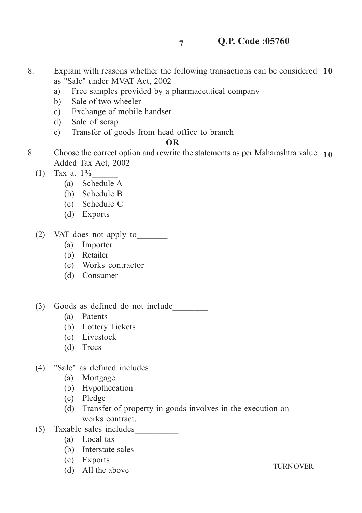8. Explain with reasons whether the following transactions can be considered **10** as "Sale" under MVAT Act, 2002

**7**

- a) Free samples provided by a pharmaceutical company
- b) Sale of two wheeler
- c) Exchange of mobile handset
- d) Sale of scrap
- e) Transfer of goods from head office to branch

#### **OR**

- 8. Choose the correct option and rewrite the statements as per Maharashtra value **10**Added Tax Act, 2002
	- (1) Tax at  $1\%$ 
		- (a) Schedule A
		- (b) Schedule B
		- (c) Schedule C
		- (d) Exports
	- (2) VAT does not apply to\_\_\_\_\_\_\_
		- (a) Importer
		- (b) Retailer
		- (c) Works contractor
		- (d) Consumer
	- (3) Goods as defined do not include\_\_\_\_\_\_\_\_
		- (a) Patents
		- (b) Lottery Tickets
		- (c) Livestock
		- (d) Trees
	- (4) "Sale" as defined includes \_\_\_\_\_\_\_\_\_\_
		- (a) Mortgage
		- (b) Hypothecation
		- (c) Pledge
		- (d) Transfer of property in goods involves in the execution on works contract.
	- (5) Taxable sales includes\_\_\_\_\_\_\_\_\_\_
		- (a) Local tax
		- (b) Interstate sales
		- (c) Exports
		- (d) All the above

TURN OVER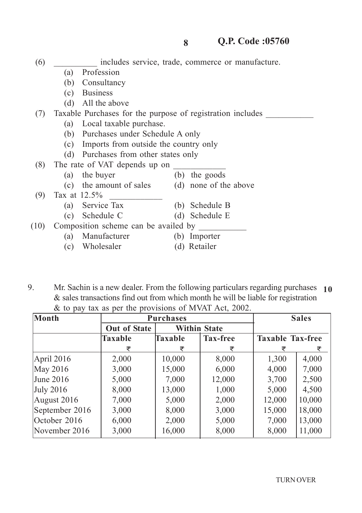|      | (b)          | Consultancy                                                |     |                       |
|------|--------------|------------------------------------------------------------|-----|-----------------------|
|      | (c)          | <b>Business</b>                                            |     |                       |
|      | (d)          | All the above                                              |     |                       |
| (7)  |              | Taxable Purchases for the purpose of registration includes |     |                       |
|      | (a)          | Local taxable purchase.                                    |     |                       |
|      | (b)          | Purchases under Schedule A only                            |     |                       |
|      | (c)          | Imports from outside the country only                      |     |                       |
|      | (d)          | Purchases from other states only                           |     |                       |
| (8)  |              | The rate of VAT depends up on                              |     |                       |
|      | (a)          | the buyer                                                  | (b) | the goods             |
|      |              | (c) the amount of sales                                    |     | (d) none of the above |
| (9)  | Tax at 12.5% |                                                            |     |                       |
|      | (a)          | Service Tax                                                | (b) | Schedule B            |
|      | (c)          | Schedule C                                                 | (d) | Schedule E            |
| (10) |              | Composition scheme can be availed by                       |     |                       |
|      | (a)          | Manufacturer                                               | (b) | Importer              |
|      | (c)          | Wholesaler                                                 | (d) | Retailer              |

(6) \_\_\_\_\_\_\_\_\_\_ includes service, trade, commerce or manufacture.

(a) Profession

9. Mr. Sachin is a new dealer. From the following particulars regarding purchases **10** & sales transactions find out from which month he will be liable for registration & to pay tax as per the provisions of MVAT Act, 2002.

| Month            | <b>Purchases</b>    |         | <b>Sales</b>        |                         |        |
|------------------|---------------------|---------|---------------------|-------------------------|--------|
|                  | <b>Out of State</b> |         | <b>Within State</b> |                         |        |
|                  | <b>Taxable</b>      | Taxable | <b>Tax-free</b>     | <b>Taxable Tax-free</b> |        |
|                  | ₹                   | ₹       | ₹                   |                         | ₹      |
| April 2016       | 2,000               | 10,000  | 8,000               | 1,300                   | 4,000  |
| May 2016         | 3,000               | 15,000  | 6,000               | 4,000                   | 7,000  |
| June $2016$      | 5,000               | 7,000   | 12,000              | 3,700                   | 2,500  |
| <b>July 2016</b> | 8,000               | 13,000  | 1,000               | 5,000                   | 4,500  |
| August 2016      | 7,000               | 5,000   | 2,000               | 12,000                  | 10,000 |
| September 2016   | 3,000               | 8,000   | 3,000               | 15,000                  | 18,000 |
| October 2016     | 6,000               | 2,000   | 5,000               | 7,000                   | 13,000 |
| November 2016    | 3,000               | 16,000  | 8,000               | 8,000                   | 11,000 |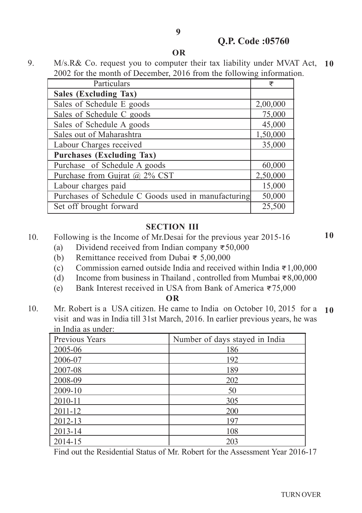**9**

9. M/s.R& Co. request you to computer their tax liability under MVAT Act, **10** 2002 for the month of December, 2016 from the following information.

| Particulars                                         | ₹        |
|-----------------------------------------------------|----------|
| Sales (Excluding Tax)                               |          |
| Sales of Schedule E goods                           | 2,00,000 |
| Sales of Schedule C goods                           | 75,000   |
| Sales of Schedule A goods                           | 45,000   |
| Sales out of Maharashtra                            | 1,50,000 |
| Labour Charges received                             | 35,000   |
| <b>Purchases (Excluding Tax)</b>                    |          |
| Purchase of Schedule A goods                        | 60,000   |
| Purchase from Gujrat @ $2\%$ CST                    | 2,50,000 |
| Labour charges paid                                 | 15,000   |
| Purchases of Schedule C Goods used in manufacturing | 50,000   |
| Set off brought forward                             | 25,500   |

#### **SECTION III**

- 10. Following is the Income of Mr.Desai for the previous year 2015-16
	- (a) Dividend received from Indian company **<**50,000
	- (b) Remittance received from Dubai **<** 5,00,000
	- (c) Commission earned outside India and received within India **<**1,00,000
	- (d) Income from business in Thailand , controlled from Mumbai **<**8,00,000
	- (e) Bank Interest received in USA from Bank of America **<**75,000

#### **OR**

10. Mr. Robert is a USA citizen. He came to India on October 10, 2015 for a visit and was in India till 31st March, 2016. In earlier previous years, he was in India as under: **10**

| Previous Years | Number of days stayed in India |
|----------------|--------------------------------|
| 2005-06        | 186                            |
| 2006-07        | 192                            |
| 2007-08        | 189                            |
| 2008-09        | 202                            |
| 2009-10        | 50                             |
| 2010-11        | 305                            |
| 2011-12        | 200                            |
| 2012-13        | 197                            |
| 2013-14        | 108                            |
| 2014-15        | 203                            |

Find out the Residential Status of Mr. Robert for the Assessment Year 2016-17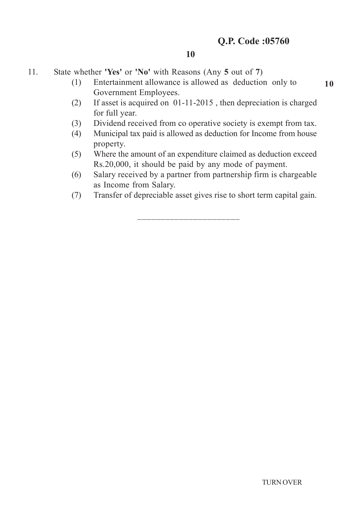11. State whether **'Yes'** or **'No'** with Reasons (Any **5** out of **7**)

- (1) Entertainment allowance is allowed as deduction only to Government Employees.
- (2) If asset is acquired on 01-11-2015 , then depreciation is charged for full year.
- (3) Dividend received from co operative society is exempt from tax.
- (4) Municipal tax paid is allowed as deduction for Income from house property.
- (5) Where the amount of an expenditure claimed as deduction exceed Rs.20,000, it should be paid by any mode of payment.
- (6) Salary received by a partner from partnership firm is chargeable as Income from Salary.
- (7) Transfer of depreciable asset gives rise to short term capital gain.

\_\_\_\_\_\_\_\_\_\_\_\_\_\_\_\_\_\_\_\_\_\_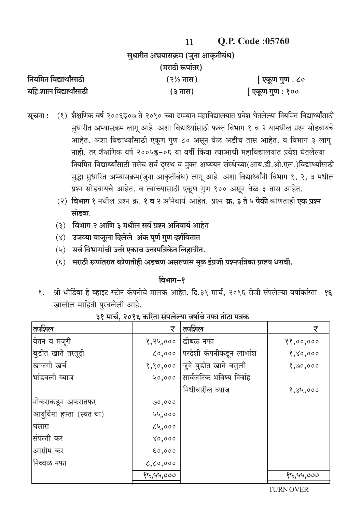|                                     |                       | <b>Q.P. Code :05/60</b> |
|-------------------------------------|-----------------------|-------------------------|
| सुधारीत अभ्रयासक्रम (जुना आकृतीबंध) |                       |                         |
|                                     | (मराठी रूपांतर)       |                         |
| नियमित विद्यार्थांसाठी              | $(3\frac{1}{2})$ तास) | एकूण गुण : ८०           |
| बहि:शाल विद्यार्थांसाठी             | (३ तास)               | एकूण गुण : १००          |

- (१) शैक्षणिक वर्ष २००६ह्र०७ ते २०१० च्या दरम्यान महाविद्यालयात प्रवेश घेतलेल्या नियमित विद्यार्थ्यांसाठी सूचना : सुधारीत अभ्यासक्रम लागू आहे. अशा विद्यार्थ्यांसाठी फक्त विभाग १ व २ यामधील प्रश्न सोडवायचे आहेत. अशा विद्यार्थ्यांसाठी एकूण गुण ८० असून वेळ अडीच तास आहेत. व विभाग ३ लागू नाही. तर शैक्षणिक वर्ष २००५ह्न-०६ या वर्षी किंवा त्याआधी महाविद्यालयात प्रवेश घेतलेल्या नियमित विद्यार्थ्यांसाठी तसेच सर्व दूरस्थ व मुक्त अध्ययन संस्थेच्या(आय.डी.ओ.एल.)विद्यार्थ्यांसाठी सुद्धा सुधारित अभ्यासक्रम(जुना आकृतीबंध) लागू आहे. अशा विद्यार्थ्यांनी विभाग १, २, ३ मधील प्रश्न सोडवायचे आहेत. व त्यांच्यासाठी एकूण गुण १०० असून वेळ ३ तास आहेत.
	- (२) विभाग १ मधील प्रश्न क्र. १ व २ अनिवार्य आहेत. प्रश्न क्र. ३ ते ५ पैकी कोणताही एक प्रश्न मोडवा
	- (३) विभाग २ आणि ३ मधील सर्व प्रश्न अनिवार्य आहेत
	- (४) उजव्या बाजूला दिलेले अंक पूर्ण गुण दर्शवितात
	- $(4)$  सर्व विभागांची उत्तरे एकाच उत्तरपत्रिकेत लिहावीत.
	- (६) मराठी रूपांतरात कोणतीही अडचण असल्यास मूळ इंग्रजी प्रश्नपत्रिका ग्राह्य धरावी.

#### विभाग-१

श्री धोडिंबा हे व्हाइट स्टोन कंपनीचे मालक आहेत. दि.३१ मार्च, २०१६ रोजी संपलेल्या वर्षाकरिता **१६**  $\overline{\mathbf{X}}$ . खालील माहिती पुरवलेली आहे.

| तपशिल                     | ₹          | तपशिल                           | ₹         |
|---------------------------|------------|---------------------------------|-----------|
| वितन व मजूरी              | १,२५,०००   | ढोबळ नफा                        | 88,00,000 |
| बुडीत खाते तरतूदी         |            | ८०,००० परदेशी कंपनीकडून लाभांश  | 8,80,000  |
| खाजगी खर्च                |            | १,१०,०००  जुने बुडीत खाते वसुली | 8,90,000  |
| भांडवली व्याज             |            | ५०,००० सार्वजनिक भविष्य निर्वाह |           |
|                           |            | निधीवारील व्याज                 | 8,84,000  |
| नोकराकडून अफरातफर         | ७०,०००     |                                 |           |
| आयुर्विमा हफ्ता (स्वतःचा) | 44,000     |                                 |           |
| घसारा                     | 24,000     |                                 |           |
| संपत्ती कर                | 0,000      |                                 |           |
| आग्रीम कर                 | 50,000     |                                 |           |
| निव्वळ नफा                | 6, 60, 000 |                                 |           |
|                           | १५,५५,०००  |                                 | १५,५५,००० |

### ३१ मार्च, २०१६ करिता संपलेल्या वर्षाचे नफा तोटा पत्रक

**TURN OVER**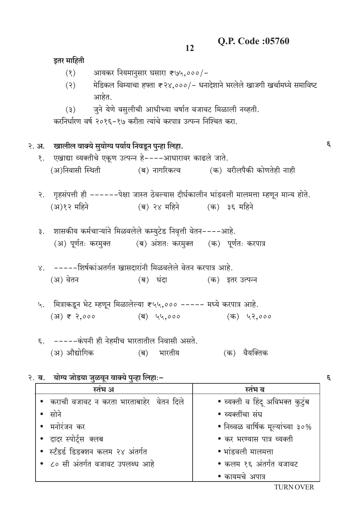इतर माहिती

|  | (8)                                                                    | आयकर नियमानुसार घसारा ₹७५,०००/-     |                                                                                             |
|--|------------------------------------------------------------------------|-------------------------------------|---------------------------------------------------------------------------------------------|
|  | (5)                                                                    |                                     | मेडिकल विम्याचा हफ्ता ₹२४,०००/– धनादेशाने भरलेले खाजगी खर्चामध्ये समाविष्ट                  |
|  | आहेत.                                                                  |                                     |                                                                                             |
|  | (5)                                                                    |                                     | जुने येणे वसुलीची आधीच्या वर्षात वजावट मिळाली नव्हती.                                       |
|  | करनिर्धारण वर्ष २०१६-१७ करीता त्यांचे करपात्र उत्पन्न निश्चित करा.     |                                     |                                                                                             |
|  |                                                                        |                                     |                                                                                             |
|  | २. अ. व्वालील वाक्ये सुयोग्य पर्याय निवडून पुन्हा लिहा.                |                                     |                                                                                             |
|  | १. एखाद्या व्यक्तीचे एकूण उत्पन्न हे----आधारावर काढले जाते.            |                                     |                                                                                             |
|  |                                                                        |                                     | (अ)निवासी स्थिती               (ब) नागरिकत्व           (क) वरीलपैकी कोणतेही नाही            |
|  |                                                                        |                                     |                                                                                             |
|  |                                                                        |                                     | २. गृहसंपत्ती ही ------पेक्षा जास्त ठेवल्यास दीर्घकालीन भांडवली मालमत्ता म्हणून मान्य होते. |
|  | (अ)१२ महिने                      (ब) २४ महिने          (क) ३६ महिने    |                                     |                                                                                             |
|  |                                                                        |                                     |                                                                                             |
|  | ३.   शासकीय कर्मचाऱ्यांने मिळवलेले कम्युटेड निवृत्ती वेतन----आहे.      |                                     |                                                                                             |
|  | (अ) पूर्णतः करमुक्त         (ब) अंशतः करमुक्त     (क)  पूर्णतः करपात्र |                                     |                                                                                             |
|  |                                                                        |                                     |                                                                                             |
|  | ४. -----शिर्षकांअतर्गत खासदारांनी मिळवलेले वेतन करपात्र आहे.           |                                     |                                                                                             |
|  | (अ) वेतन                                                               |                                     | (ब) धंदा             (क) इतर उत्पन्न                                                        |
|  |                                                                        |                                     |                                                                                             |
|  | ५. मित्राकडून भेट म्हणून मिळालेल्या ₹५५,००० ----- मध्ये करपात्र आहे.   |                                     |                                                                                             |
|  |                                                                        |                                     | (क) ५२,०००                                                                                  |
|  |                                                                        |                                     |                                                                                             |
|  | ६. -----कंपनी ही नेहमीच भारतातील निवासी असते.                          |                                     |                                                                                             |
|  | (अ) औद्योगिक                                                           | भारतीय<br>$(\overline{\mathsf{q}})$ | वैयक्तिक<br>(क)                                                                             |
|  |                                                                        |                                     |                                                                                             |
|  | २. ब.    योग्य जोडया जुळवून वाक्ये पुन्हा लिहा:-                       |                                     |                                                                                             |
|  | स्तंभ अ                                                                |                                     | स्तंभ ब                                                                                     |
|  | कराची वजावट न करता भारताबाहेर वेतन दिले                                |                                     | • व्यक्ती व हिंदू अविभक्त कुटुंब                                                            |
|  | सोने                                                                   |                                     | • व्यक्तींचा संघ                                                                            |
|  | मनोरंजन कर                                                             |                                     | • निव्वळ वार्षिक मूल्यांच्या ३०%                                                            |
|  | दादर स्पोर्ट्स क्लब                                                    |                                     | • कर भरण्यास पात्र व्यक्ती                                                                  |

 $\mathcal{E}$ 

 $\epsilon$ 

• स्टँडर्ड डिडक्शन कलम २४ अंतर्गत • भांडवली मालमत्ता • ८० सी अंतर्गत वजावट उपलब्ध आहे • कलम १६ अंतर्गत वजावट • कायमचे अपात्र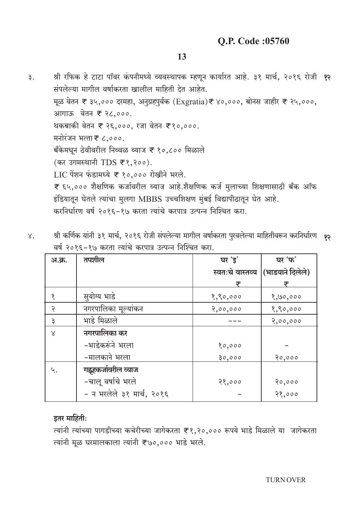- श्री रफिक हे टाटा पॉवर कंपनीमध्ये व्यवस्थापक म्हणून कार्यारत आहे. ३१ मार्च, २०१६ रोजी १२  $\mathsf{B}$ . संपलेल्या मागील वर्षाकरता खालील माहिती देत आहेत. मूळ वेतन ₹ ३५,००० दरमहा, अनुग्रहपुर्वक (Exgratia)₹ ४०,०००, बोनस जाहीर ₹ २५,०००, आगाऊ वेतन ₹ २८,०००. थकबाकी वेतन ₹ २६,०००, रजा वेतन ₹१०,०००. मनोरंजन भत्ता ₹ ८,०००. बँकेमधून ठेवीवरील निव्वळ व्याज ₹ १०,८०० मिळाले (कर उगमस्थानी TDS ₹ १,२००). LIC पेंशन फंडामध्ये ₹ १०,००० रोखीने भरले. ₹ ६५,००० शैक्षणिक कर्जावरील व्याज आहे.शैक्षणिक कर्ज मुलाच्या शिक्षणासाठी बँक ऑफ इंडियातून घेतले त्यांचा मुलगा MBBS उच्चशिक्षण मुंबई विद्यापीठातून घेत आहे. करनिर्धारण वर्ष २०१६-१७ करता त्यांचे करपात्र उत्पन्न निश्चित करा.
- श्री कर्णिक यांनी ३१ मार्च, २०१६ रोजी संपलेल्या मागील वर्षाकरता पुरवलेल्या माहितीवरून करनिर्धारण *१*२  $X_{\bullet}$ वर्ष २०१६-१७ करता त्यांचे करपात्र उत्पन्न निश्चित करा.

| अ.क्र.    | तपशील                     | घर 'ड़'          | घर 'फ'           |
|-----------|---------------------------|------------------|------------------|
|           |                           | स्वतःचे वास्तव्य | (भाडयाने दिलेले) |
|           |                           | ₹                |                  |
|           | सुयोग्य भाडे              | 8,80,000         | 8,90,000         |
| २         | नगरपालिका मूल्यांकन       | 3,00,000         | 8,80,000         |
| ३         | भाडे मिळाले               |                  | 2,00,000         |
| $\propto$ | नगरपालिका कर              |                  |                  |
|           | -भाडेकरूंने भरला          | 80,000           |                  |
|           | –मालकाने भरला             | 30,000           | 20,000           |
| ५.        | गह्रहकर्जावरील व्याज      |                  |                  |
|           | -चालू वर्षाचे भरले        | 28,000           | 20,000           |
|           | - न भरलेले ३१ मार्च, २०१६ |                  | 28,000           |

### इतर माहिती:

त्यांनी त्यांच्या पागडीच्या कचेरीच्या जागेकरता ₹१.२०.००० रूपये भाडे मिळाले या जागेकरता त्यांनी मूळ घरमालकाला त्यांनी ₹७०,००० भाडे भरले.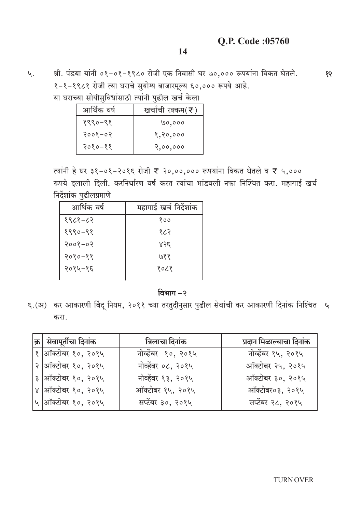99

4.

श्री. पंडया यांनी ०१-०१-१९८० रोजी एक निवासी घर ७०,००० रूपयांना विकत घेतले. १-१-१९८१ रोजी त्या घराचे सुयोग्य बाजारमूल्य ६०,००० रूपये आहे. या घराच्या सोयीसविधांसाठी त्यांनी पढील खर्च केला

|             | ण्या सांभाराणियासाठा स्थाना पुरुषस खेल भरता |
|-------------|---------------------------------------------|
| आर्थिक वर्ष | खर्चाची रक्कम $(\bar{\mathbf{z}})$          |
| $880 - 88$  | ७०,०००                                      |
| २००१–०२     | १,२०,०००                                    |
| २०१०–११     | 2,00,000                                    |

त्यांनी हे घर ३१−०१−२०१६ रोजी ₹ २०,००,००० रूपयांना विकत घेतले व ₹ ५,००० रूपये दलाली दिली. करनिर्धारण वर्ष करत त्यांचा भांडवली नफा निश्चित करा. महागाई खर्च निर्देशांक पुढीलप्रमाणे

| आर्थिक वर्ष | महागाई खर्च निर्देशांक |
|-------------|------------------------|
| १९८१-८२     | १००                    |
| १९९०–९१     | १८२                    |
| $2008 - 02$ | 855                    |
| $2080 - 88$ | ७११                    |
| २०१५–१६     | १०८१                   |
|             |                        |

विभाग-२

६.(अ) कर आकारणी बिंदू नियम, २०११ च्या तरतुदीनुसार पुढील सेवांची कर आकारणी दिनांक निश्चित ५ करा.

| $\left \mathbf{\varpi}\right $ सेवापूर्तीचा दिनांक $\left \mathbf{\varpi}\right $ | बिलाचा दिनांक      | प्रदान मिळाल्याचा दिनांक |
|-----------------------------------------------------------------------------------|--------------------|--------------------------|
| १  ऑक्टोबर १०, २०१५                                                               | नोव्हेंबर १०, २०१५ | नोव्हेंबर १५, २०१५       |
| २ आँक्टोबर १०, २०१५                                                               | नोव्हेंबर ०८, २०१५ | ऑक्टोबर २५, २०१५         |
| ३ ऑक्टोबर १०, २०१५                                                                | नोव्हेंबर १३, २०१५ | ऑक्टोबर ३०, २०१५         |
| ४  ऑक्टोबर १०, २०१५                                                               | ऑक्टोबर १५, २०१५   | ऑक्टोबर०३, २०१५          |
| <sup> </sup> ५  ऑक्टोबर १०, २०१५                                                  | सप्टेंबर ३०, २०१५  | सप्टेंबर २८, २०१५        |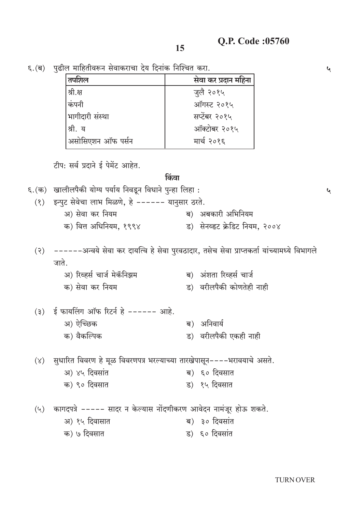$\mathbf{v}$ 

 $\mathbf{v}$ 

६. (ब) पुढील माहितीवरून सेवाकराचा देय दिनांक निश्चित करा.

| तपशिल             | सेवा कर प्रदान महिना |
|-------------------|----------------------|
| श्री.क्ष          | जुलै २०१५            |
| कंपनी             | ऑगस्ट २०१५           |
| शमागिदारी संस्था  | सप्टेंबर २०१५        |
| श्री. य           | ऑक्टोबर २०१५         |
| असोसिएशन ऑफ पर्सन | मार्च २०१६           |

टीप: सर्व प्रदाने ई पेमेंट आहेत.

#### किंवा

६. (क) खालीलपैकी योग्य पर्याय निवडून विधाने पुन्हा लिहा:

- (१) इन्पुट सेवेचा लाभ मिळणे, हे ------ यानुसार ठरते.
	- अ) सेवा कर नियम ब) अबकारी अभिनियम क) वित्त अधिनियम, १९९४ ड) सेनव्हट क्रेडिट नियम, २००४
- (२) ------अन्वये सेवा कर दायत्वि हे सेवा पुरवठादार, तसेच सेवा प्राप्तकर्ता यांच्यामध्ये विभागले जाते.

| अ) रिव्हर्स चार्ज मेकॅनिझम | ब) अंशता रिव्हर्स चार्ज   |
|----------------------------|---------------------------|
| क) सेवा कर नियम            | ड)  वरीलपैकी कोणतेही नाही |

| (३) ई फायलिंग ऑफ रिटर्न हे ------ आहे. |                       |
|----------------------------------------|-----------------------|
| अ) ऐच्छिक                              | ब) अनिवार्य           |
| क) वैकल्पिक                            | ड) वरीलपैकी एकही नाही |

(४) सुधारित विवरण हे मूळ विवरणपत्र भरल्याच्या तारखेपासून----भरावयाचे असते.

| अ) ४५ दिवसांत | ब) ६० दिवसात |
|---------------|--------------|
| क) ९० दिवसात  | ड) १५ दिवसात |

- (५) कागदपत्रे ----- सादर न केल्यास नोंदणीकरण आवेदन नामंजूर होऊ शकते.
	- अ) १५ दिवासात ब) ३० दिवसांत
	- क) ७ दिवसात ड) ६० दिवसांत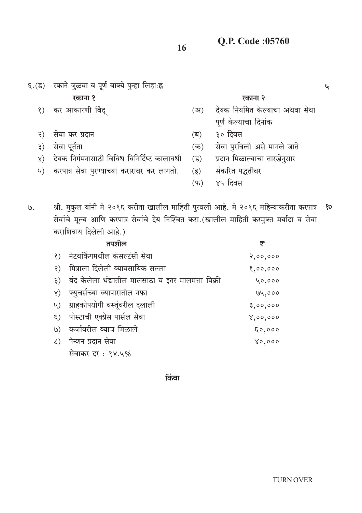- ६.(ड) रकाने जुळवा व पूर्ण वाक्ये पुन्हा लिहाःह्न रकाना १ रकाना २ कर आकारणी बिंद्  $\langle \rangle$  $(3)$ पूर्ण केल्याचा दिनांक ३० दिवस सेवा कर प्रदान  $\mathcal{S}$  $(\overline{\mathsf{p}})$ सेवा पुरविली असे मानले जाते सेवा पूर्तता  $(\overline{\Phi})$  $\mathfrak{z}$ ) देयक निर्गमनासाठी विविध विनिर्दिष्ट कालावधी  $\lambda$ )
	- करपात्र सेवा पुरण्याच्या करारावर कर लागतो.  $\mathcal{L}$
- श्री. मुकुल यांनी मे २०१६ करीता खालील माहिती पुरवली आहे. मे २०१६ महिन्याकरीता करपात्र  $\mathcal{G}.$ 80 सेवांचे मूल्य आणि करपात्र सेवांचे देय निश्चित करा.(खालील माहिती करमुक्त मर्यादा व सेवा कराशिवाय दिलेली आहे.)

|               | तपशील                                                 | ₹        |
|---------------|-------------------------------------------------------|----------|
|               | १) नेटवर्किंगमधील कंसल्टंसी सेवा                      | 2,00,000 |
| $\mathcal{S}$ | मित्राला दिलेली व्यावसायिक सल्ला                      | 8,00,000 |
|               | ३) बंद केलेला धंद्यातील मालसाठा व इतर मालमत्ता विक्री | 40,000   |
|               | ४) फ्युचर्सच्या व्यापारातील नफा                       | 194,000  |
|               | ५) ग्राहकोपयोगी वस्तूंवरील दलाली                      | 3,00,000 |
|               | ६) पोस्टाची एक्प्रेस पार्सल सेवा                      | 8,00,000 |
|               | ७) कर्जावरील व्याज मिळाले                             | 50,000   |
|               | ८) पेन्शन प्रदान सेवा                                 | 0,000    |
|               | सेवाकर दर: १४.५%                                      |          |

किंवा

देयक नियमित केल्याचा अथवा सेवा

 $\mathbf{v}$ 

- प्रदान मिळाल्याचा तारखेनुसार  $( \overline{s} )$
- $(\overline{\xi})$ संकरित पद्धतीवर
- ४५ दिवस  $(\overline{\Psi})$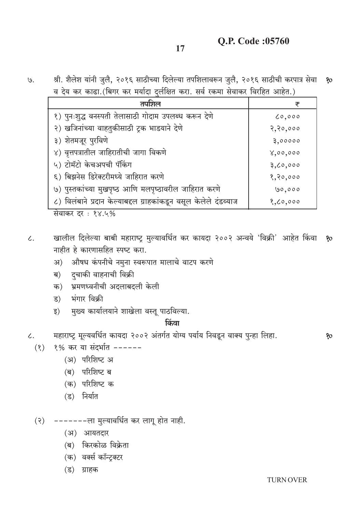# **O.P. Code:05760**

श्री. शैलेश यांनी जुलै, २०१६ साठीच्या दिलेल्या तपशिलावरून जुलै, २०१६ साठीची करपात्र सेवा १०  $\mathcal{G}.$ व देय कर काढ़ा (बिगर कर मर्यादा दर्लक्षित करा, सर्व रकमा सेवाकर विरहित आहेत.)

| तपशिल                                                            | ₹          |
|------------------------------------------------------------------|------------|
| १) पुनःशुद्ध वनस्पती तेलासाठी गोदाम उपलब्ध करून देणे             | 0,000      |
| २) खजिनांच्या वाहतुकीसाठी ट्रक भाडयाने देणे                      | 2, 20, 000 |
| ३) शेतमजूर पुरविणे                                               | 3,00000    |
| ४) वृत्तपत्रातील जाहिरातीची जागा विकणे                           | 8,00,000   |
| ५) टोमॅटो केचअपची पॅकिंग                                         | 3,00,000   |
| ६) बिझनेस डिरेक्टरीमध्ये जाहिरात करणे                            | 8, 80, 000 |
| ७) पुस्तकांच्या मुखपृष्ठ आणि मलपृष्ठावरील जाहिरात करणे           | 00,000     |
| ८) विलंबाने प्रदान केल्याबद्दल ग्राहकांकडून वसूल केलेले दंडव्याज | 8,00,000   |

सेवाकर दर: १४.५%

- खालील दिलेल्या बाबी महाराष्ट्र मुल्यावर्धित कर कायदा २००२ अन्वये 'विक्री' आहेत किंवा १०  $\overline{\mathcal{L}}$ . नाहीत हे कारणासहित स्पष्ट करा.
	- औषध कंपनीचे नमुना स्वरूपात मालाचे वाटप करणे अ)
	- दुचाकी वाहनाची विक्री ब)
	- क) भ्रमणध्वनीची अदलाबदली केली
	- भंगार विक्री ड)
	- मुख्य कार्यालयाने शाखेला वस्तू पाठविल्या. ड)

#### किंवा

महाराष्ट्र मूल्यवर्धित कायदा २००२ अंतर्गत योग्य पर्याय निवडून वाक्य पुन्हा लिहा.  $\zeta$ .

- १% कर या संदर्भात ------ $(8)$ 
	- (अ) परिशिष्ट अ
	- (ब) परिशिष्ट ब
	- (क) परिशिष्ट क
	- (ड) निर्यात
- (२) -------ला मुल्यावर्धित कर लागू होत नाही.
	- (अ) आयतदार
	- (ब) किरकोळ विक्रेता
	- (क) वर्क्स कॉन्टक्टर
	- (ड) ग्राहक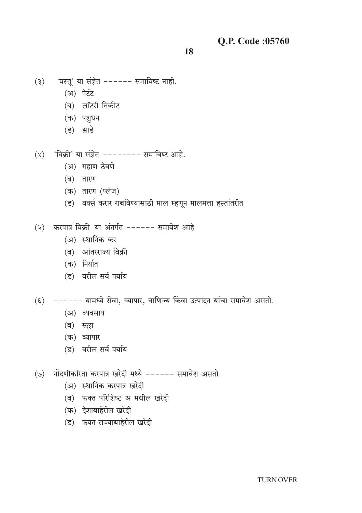- 'वस्तू' या संज्ञेत ------ समाविष्ट नाही.  $(3)$ 
	- (अ) पेटंट
	- (ब) लॉटरी तिकीट
	- (क) पशुधन
	- (ड) झाडे
- $(y)$  'विक्री' या संज्ञेत -------- समाविष्ट आहे.
	- (अ) गहाण ठेवणे
	- (ब) तारण
	- (क) तारण (प्लेज)
	- (ड) वर्क्स करार राबविण्यासाठी माल म्हणून मालमत्ता हस्तांतरीत
- $(4)$  करपात्र विक्री या अंतर्गत ------ समावेश आहे
	- (अ) स्थानिक कर
	- (ब) आंतरराज्य विक्री
	- (क) निर्यात
	- (ड) वरील सर्व पर्याय
- (६) ------ यामध्ये सेवा, व्यापार, वाणिज्य किंवा उत्पादन यांचा समावेश असतो.
	- (अ) व्यवसाय
	- (ब) सल्ला
	- (क) व्यापार
	- (ड) वरील सर्व पर्याय
- (७) नोंदणीकरिता करपात्र खरेदी मध्ये ------ समावेश असतो.
	- (अ) स्थानिक करपात्र खरेदी
	- (ब) फक्त परिशिष्ट अ मधील खरेदी
	- (क) देशाबाहेरील खरेदी
	- (ड) फक्त राज्याबाहेरील खरेदी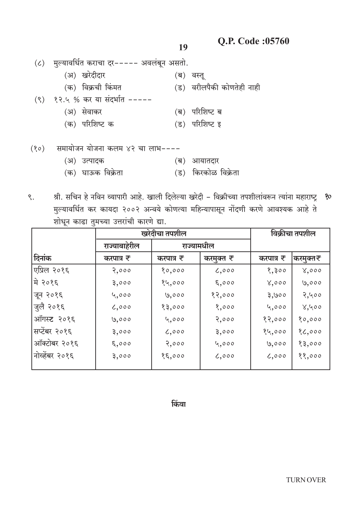19

|      | (८) मल्यावर्धित कराचा दर----- अवलंबून असतो. |                           |  |
|------|---------------------------------------------|---------------------------|--|
|      | (अ) खरेदीदार                                | (ब) वस्तू                 |  |
|      | (क) विक्रची किंमत                           | (ड) वरीलपैकी कोणतेही नाही |  |
|      | (९) १२.५ % कर या संदर्भात -----             |                           |  |
|      | (अ) सेवाकर                                  | (ब) परिशिष्ट ब            |  |
|      | (क) परिशिष्ट क                              | (ड) परिशिष्ट इ            |  |
|      |                                             |                           |  |
| (80) | समायोजन योजना कलम ४२ चा लाभ----             |                           |  |
|      | (अ) उत्पादक                                 | आयातदार<br>(ब)            |  |
|      | (क)  घाऊक विक्रेता                          | (ड) किरकोळ विक्रेता       |  |

श्री. सचिन हे नविन व्यापारी आहे. खाली दिलेल्या खरेदी - विक्रीच्या तपशीलांवरून त्यांना महाराष्ट्र १०  $\mathcal{S}$ . मुल्यावर्धित कर कायदा २००२ अन्वये कोणत्या महिन्यापासून नोंदणी करणे आवश्यक आहे ते शोधून काढा तुमच्या उत्तरांची कारणे द्या.

|                | खरेदीचा तपशील |            |           | विक्रीचा तपशील |          |
|----------------|---------------|------------|-----------|----------------|----------|
|                | राज्याबाहेरील | राज्यामधील |           |                |          |
| दिनांक         | करपात्र ₹     | करपात्र ₹  | करमुक्त ₹ | करपात्र ₹      | करमुक्त₹ |
| एप्रिल २०१६    | 2,000         | 80,000     | 0,000     | 8,300          | 8,000    |
| ∣मे २०१६       | 3,000         | १५,०००     | 5,000     | 8,000          | 9,000    |
| जून २०१६       | 4,000         | ७,०००      | 82,000    | 3,900          | 2,400    |
| जुलै २०१६      | 6,000         | १३,०००     | 8,000     | 4,000          | 8,400    |
| ऑगस्ट २०१६     | 9,000         | 4,000      | 2,000     | 82,000         | 80,000   |
| सप्टेंबर २०१६  | 3,000         | 6,000      | 3,000     | 84,000         | 86,000   |
| ऑक्टोबर २०१६   | 5,000         | 2,000      | 4,000     | ७,०००          | 83,000   |
| नोव्हेंबर २०१६ | 3,000         | 85,000     | 6,000     | 6,000          | 88,000   |
|                |               |            |           |                |          |

किंवा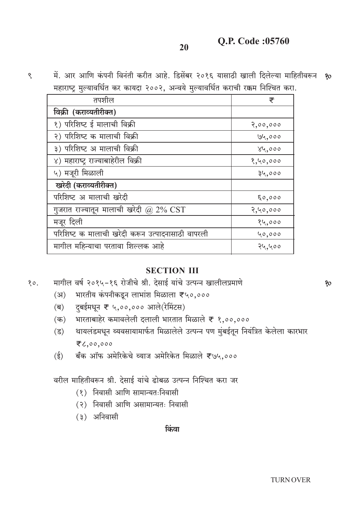**O.P. Code:05760** 

- 20
- में. आर आणि कंपनी विनंती करीत आहे. डिसेंबर २०१६ यासाठी खाली दिलेल्या माहितीवरून ? महाराष्ट्र मुल्यावर्धित कर कायदा २००२, अन्वये मुल्यावर्धित कराची रक्कम निश्चित करा.

| तपशील                                                   | ₹        |
|---------------------------------------------------------|----------|
| विक्री (कराव्यतीरीक्त)                                  |          |
| १) परिशिष्ट ई मालाची विक्री                             | 2,00,000 |
| २) परिशिष्ट क मालाची विक्री                             | 194,000  |
| ३) परिशिष्ट अ मालाची विक्री                             | 84,000   |
| ४) महाराष्ट्र राज्याबाहेरील विक्री                      | 8,40,000 |
| ५) मजूरी मिळाली                                         | 34,000   |
| खरेदी (कराव्यतीरीक्त)                                   |          |
| परिशिष्ट अ मालाची खरेदी                                 | 50,000   |
| गुजरात राज्यातून मालाची खरेदी @ 2% $\operatorname{CST}$ | 2,40,000 |
| मजूर दिली                                               | १५,०००   |
| परिशिष्ट क मालाची खरेदी करून उत्पादनासाठी वापरली        | 40,000   |
| मागील महिन्याचा परतावा शिल्लक आहे                       | २५,५००   |

### **SECTION III**

मागील वर्ष २०१५-१६ रोजीचे श्री. देसाई यांचे उत्पन्न खालीलप्रमाणे  $80.$ 

- भारतीय कंपनीकडून लाभांश मिळाला ₹५०,०००  $(3)$
- दुबईमधून ₹ ५,००,००० आले(रेमिंटस)  $(\overline{\mathsf{p}})$
- भारताबाहेर कमावलेली दलाली भारतात मिळाले ₹ १,००,००० (क)
- थायलंडमधून व्यवसायामार्फत मिळालेले उत्पन्न पण मुंबईतून नियंत्रित केलेला कारभार  $(3)$ そん,00,000
- बँक ऑफ अमेरिकेचे व्याज अमेरिकेत मिळाले ₹७५,०००  $(\xi)$

वरील माहितीवरून श्री. देसाई यांचे ढोबळ उत्पन्न निश्चित करा जर

- (१) निवासी आणि सामान्यतःनिवासी
- (२) निवासी आणि असामान्यतः निवासी
- (३) अनिवासी

 $\mathcal{S}$ 

किंवा